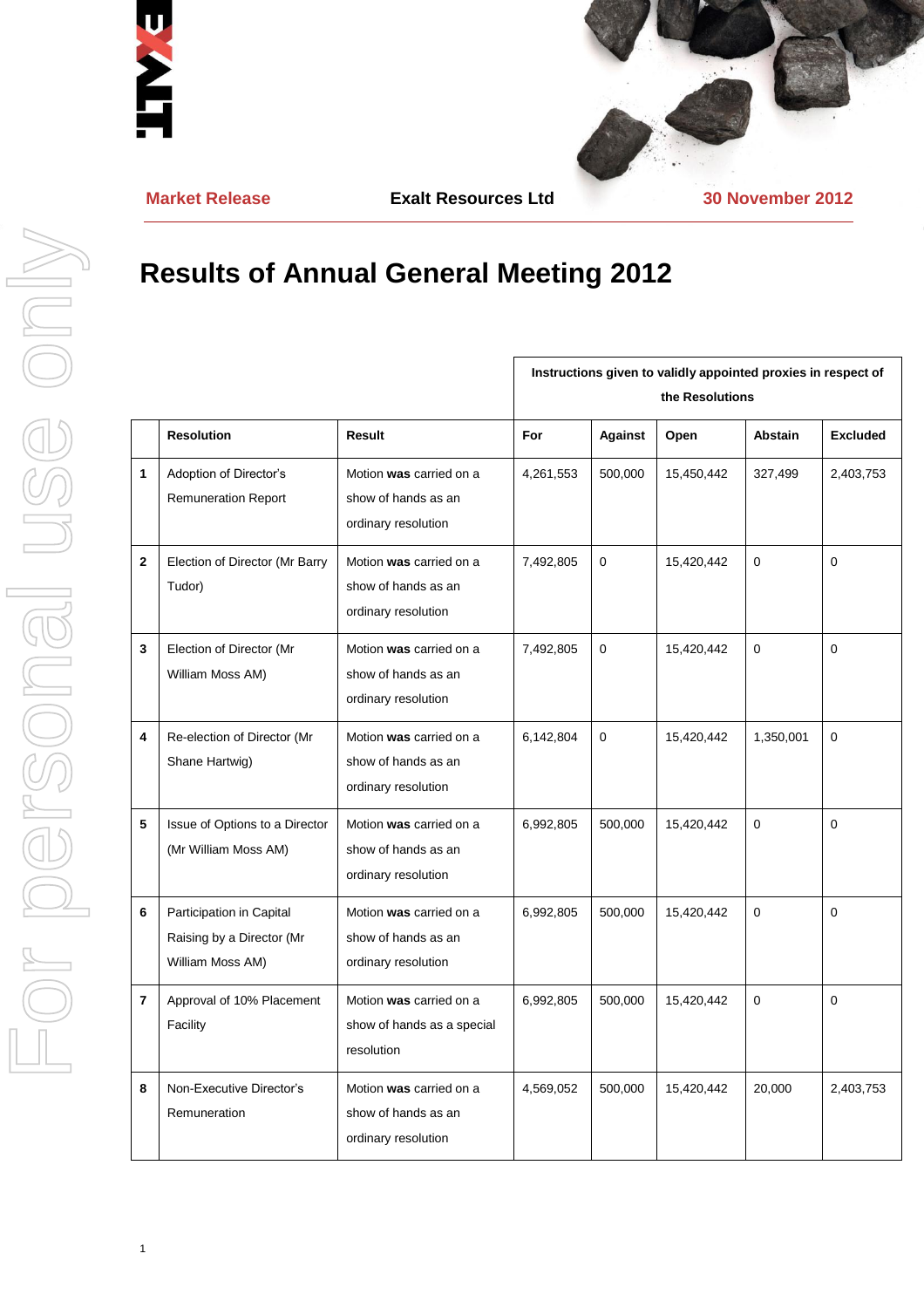

**Market Release Exalt Resources Ltd 30 November 2012**

## **Results of Annual General Meeting 2012**

|              |                                                                           |                                                                       | Instructions given to validly appointed proxies in respect of<br>the Resolutions |                |            |                |                 |
|--------------|---------------------------------------------------------------------------|-----------------------------------------------------------------------|----------------------------------------------------------------------------------|----------------|------------|----------------|-----------------|
|              | <b>Resolution</b>                                                         | Result                                                                | For                                                                              | <b>Against</b> | Open       | <b>Abstain</b> | <b>Excluded</b> |
| 1            | Adoption of Director's<br><b>Remuneration Report</b>                      | Motion was carried on a<br>show of hands as an<br>ordinary resolution | 4,261,553                                                                        | 500,000        | 15,450,442 | 327,499        | 2,403,753       |
| $\mathbf{2}$ | Election of Director (Mr Barry<br>Tudor)                                  | Motion was carried on a<br>show of hands as an<br>ordinary resolution | 7,492,805                                                                        | $\mathbf 0$    | 15,420,442 | $\Omega$       | 0               |
| 3            | Election of Director (Mr<br>William Moss AM)                              | Motion was carried on a<br>show of hands as an<br>ordinary resolution | 7,492,805                                                                        | $\mathbf 0$    | 15,420,442 | $\mathbf 0$    | 0               |
| 4            | Re-election of Director (Mr<br>Shane Hartwig)                             | Motion was carried on a<br>show of hands as an<br>ordinary resolution | 6,142,804                                                                        | $\mathbf 0$    | 15,420,442 | 1,350,001      | 0               |
| 5            | Issue of Options to a Director<br>(Mr William Moss AM)                    | Motion was carried on a<br>show of hands as an<br>ordinary resolution | 6,992,805                                                                        | 500,000        | 15,420,442 | $\mathbf 0$    | 0               |
| 6            | Participation in Capital<br>Raising by a Director (Mr<br>William Moss AM) | Motion was carried on a<br>show of hands as an<br>ordinary resolution | 6,992,805                                                                        | 500,000        | 15,420,442 | $\Omega$       | $\Omega$        |
| 7            | Approval of 10% Placement<br>Facility                                     | Motion was carried on a<br>show of hands as a special<br>resolution   | 6,992,805                                                                        | 500,000        | 15,420,442 | $\Omega$       | 0               |
| 8            | Non-Executive Director's<br>Remuneration                                  | Motion was carried on a<br>show of hands as an<br>ordinary resolution | 4,569,052                                                                        | 500,000        | 15,420,442 | 20,000         | 2,403,753       |